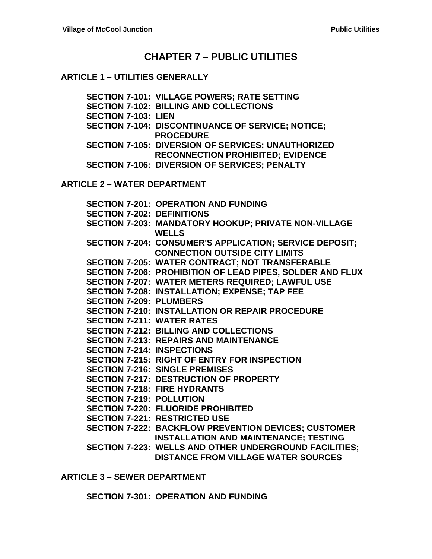## **CHAPTER 7 – PUBLIC UTILITIES**

#### **ARTICLE 1 – UTILITIES GENERALLY**

**SECTION 7-101: VILLAGE POWERS; RATE SETTING SECTION 7-102: BILLING AND COLLECTIONS SECTION 7-103: LIEN SECTION 7-104: DISCONTINUANCE OF SERVICE; NOTICE; PROCEDURE SECTION 7-105: DIVERSION OF SERVICES; UNAUTHORIZED RECONNECTION PROHIBITED; EVIDENCE SECTION 7-106: DIVERSION OF SERVICES; PENALTY**

**ARTICLE 2 – WATER DEPARTMENT**

|                                   | <b>SECTION 7-201: OPERATION AND FUNDING</b>                 |
|-----------------------------------|-------------------------------------------------------------|
| <b>SECTION 7-202: DEFINITIONS</b> |                                                             |
|                                   | SECTION 7-203: MANDATORY HOOKUP; PRIVATE NON-VILLAGE        |
|                                   | <b>WELLS</b>                                                |
|                                   | SECTION 7-204: CONSUMER'S APPLICATION; SERVICE DEPOSIT;     |
|                                   | <b>CONNECTION OUTSIDE CITY LIMITS</b>                       |
|                                   | <b>SECTION 7-205: WATER CONTRACT; NOT TRANSFERABLE</b>      |
|                                   | SECTION 7-206: PROHIBITION OF LEAD PIPES, SOLDER AND FLUX   |
|                                   | SECTION 7-207: WATER METERS REQUIRED; LAWFUL USE            |
|                                   | SECTION 7-208: INSTALLATION; EXPENSE; TAP FEE               |
| <b>SECTION 7-209: PLUMBERS</b>    |                                                             |
|                                   | <b>SECTION 7-210: INSTALLATION OR REPAIR PROCEDURE</b>      |
| <b>SECTION 7-211: WATER RATES</b> |                                                             |
|                                   | <b>SECTION 7-212: BILLING AND COLLECTIONS</b>               |
|                                   | <b>SECTION 7-213: REPAIRS AND MAINTENANCE</b>               |
| <b>SECTION 7-214: INSPECTIONS</b> |                                                             |
|                                   | <b>SECTION 7-215: RIGHT OF ENTRY FOR INSPECTION</b>         |
|                                   | <b>SECTION 7-216: SINGLE PREMISES</b>                       |
|                                   | <b>SECTION 7-217: DESTRUCTION OF PROPERTY</b>               |
|                                   | <b>SECTION 7-218: FIRE HYDRANTS</b>                         |
| <b>SECTION 7-219: POLLUTION</b>   |                                                             |
|                                   | <b>SECTION 7-220: FLUORIDE PROHIBITED</b>                   |
|                                   | <b>SECTION 7-221: RESTRICTED USE</b>                        |
|                                   | <b>SECTION 7-222: BACKFLOW PREVENTION DEVICES; CUSTOMER</b> |
|                                   | <b>INSTALLATION AND MAINTENANCE; TESTING</b>                |
|                                   | SECTION 7-223: WELLS AND OTHER UNDERGROUND FACILITIES;      |
|                                   | <b>DISTANCE FROM VILLAGE WATER SOURCES</b>                  |

**ARTICLE 3 – SEWER DEPARTMENT**

**SECTION 7-301: OPERATION AND FUNDING**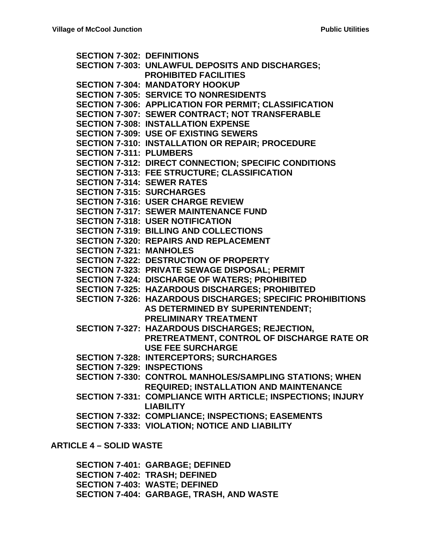**SECTION 7-302: DEFINITIONS SECTION 7-303: UNLAWFUL DEPOSITS AND DISCHARGES; PROHIBITED FACILITIES SECTION 7-304: MANDATORY HOOKUP SECTION 7-305: SERVICE TO NONRESIDENTS SECTION 7-306: APPLICATION FOR PERMIT; CLASSIFICATION SECTION 7-307: SEWER CONTRACT; NOT TRANSFERABLE SECTION 7-308: INSTALLATION EXPENSE SECTION 7-309: USE OF EXISTING SEWERS SECTION 7-310: INSTALLATION OR REPAIR; PROCEDURE SECTION 7-311: PLUMBERS SECTION 7-312: DIRECT CONNECTION; SPECIFIC CONDITIONS SECTION 7-313: FEE STRUCTURE; CLASSIFICATION SECTION 7-314: SEWER RATES SECTION 7-315: SURCHARGES SECTION 7-316: USER CHARGE REVIEW SECTION 7-317: SEWER MAINTENANCE FUND SECTION 7-318: USER NOTIFICATION SECTION 7-319: BILLING AND COLLECTIONS SECTION 7-320: REPAIRS AND REPLACEMENT SECTION 7-321: MANHOLES SECTION 7-322: DESTRUCTION OF PROPERTY SECTION 7-323: PRIVATE SEWAGE DISPOSAL; PERMIT SECTION 7-324: DISCHARGE OF WATERS; PROHIBITED SECTION 7-325: HAZARDOUS DISCHARGES; PROHIBITED SECTION 7-326: HAZARDOUS DISCHARGES; SPECIFIC PROHIBITIONS AS DETERMINED BY SUPERINTENDENT; PRELIMINARY TREATMENT SECTION 7-327: HAZARDOUS DISCHARGES; REJECTION, PRETREATMENT, CONTROL OF DISCHARGE RATE OR USE FEE SURCHARGE SECTION 7-328: INTERCEPTORS; SURCHARGES SECTION 7-329: INSPECTIONS SECTION 7-330: CONTROL MANHOLES/SAMPLING STATIONS; WHEN REQUIRED; INSTALLATION AND MAINTENANCE SECTION 7-331: COMPLIANCE WITH ARTICLE; INSPECTIONS; INJURY LIABILITY SECTION 7-332: COMPLIANCE; INSPECTIONS; EASEMENTS SECTION 7-333: VIOLATION; NOTICE AND LIABILITY**

#### **ARTICLE 4 – SOLID WASTE**

**SECTION 7-401: GARBAGE; DEFINED SECTION 7-402: TRASH; DEFINED SECTION 7-403: WASTE; DEFINED SECTION 7-404: GARBAGE, TRASH, AND WASTE**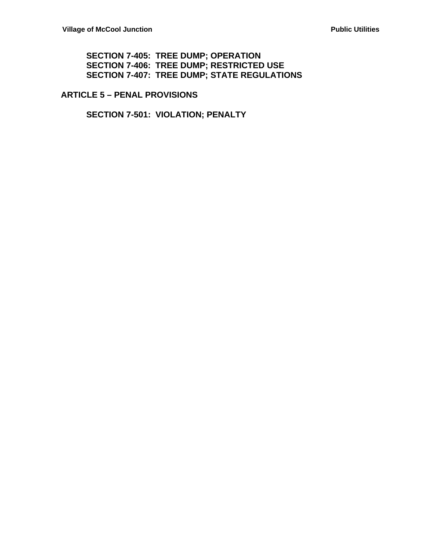#### **SECTION 7-405: TREE DUMP; OPERATION SECTION 7-406: TREE DUMP; RESTRICTED USE SECTION 7-407: TREE DUMP; STATE REGULATIONS**

**ARTICLE 5 – PENAL PROVISIONS**

**SECTION 7-501: VIOLATION; PENALTY**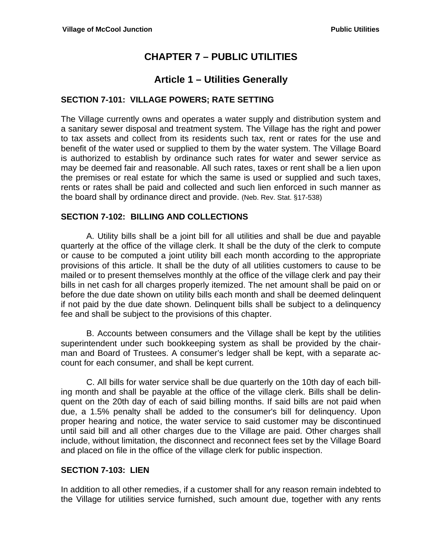# **CHAPTER 7 – PUBLIC UTILITIES**

## **Article 1 – Utilities Generally**

### **SECTION 7-101: VILLAGE POWERS; RATE SETTING**

The Village currently owns and operates a water supply and distribution system and a sanitary sewer disposal and treatment system. The Village has the right and power to tax assets and collect from its residents such tax, rent or rates for the use and benefit of the water used or supplied to them by the water system. The Village Board is authorized to establish by ordinance such rates for water and sewer service as may be deemed fair and reasonable. All such rates, taxes or rent shall be a lien upon the premises or real estate for which the same is used or supplied and such taxes, rents or rates shall be paid and collected and such lien enforced in such manner as the board shall by ordinance direct and provide. (Neb. Rev. Stat. §17-538)

#### **SECTION 7-102: BILLING AND COLLECTIONS**

 A. Utility bills shall be a joint bill for all utilities and shall be due and payable quarterly at the office of the village clerk. It shall be the duty of the clerk to compute or cause to be computed a joint utility bill each month according to the appropriate provisions of this article. It shall be the duty of all utilities customers to cause to be mailed or to present themselves monthly at the office of the village clerk and pay their bills in net cash for all charges properly itemized. The net amount shall be paid on or before the due date shown on utility bills each month and shall be deemed delinquent if not paid by the due date shown. Delinquent bills shall be subject to a delinquency fee and shall be subject to the provisions of this chapter.

 B. Accounts between consumers and the Village shall be kept by the utilities superintendent under such bookkeeping system as shall be provided by the chairman and Board of Trustees. A consumer's ledger shall be kept, with a separate account for each consumer, and shall be kept current.

 C. All bills for water service shall be due quarterly on the 10th day of each billing month and shall be payable at the office of the village clerk. Bills shall be delinquent on the 20th day of each of said billing months. If said bills are not paid when due, a 1.5% penalty shall be added to the consumer's bill for delinquency. Upon proper hearing and notice, the water service to said customer may be discontinued until said bill and all other charges due to the Village are paid. Other charges shall include, without limitation, the disconnect and reconnect fees set by the Village Board and placed on file in the office of the village clerk for public inspection.

#### **SECTION 7-103: LIEN**

In addition to all other remedies, if a customer shall for any reason remain indebted to the Village for utilities service furnished, such amount due, together with any rents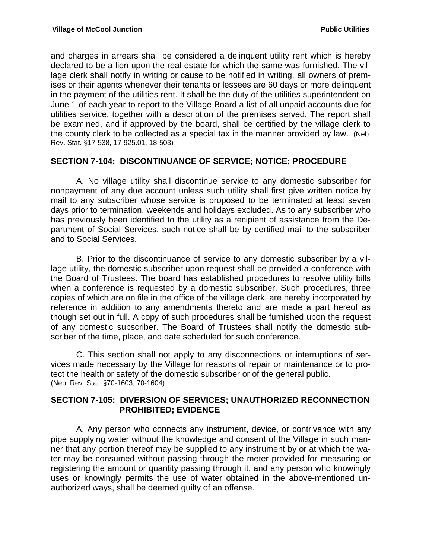and charges in arrears shall be considered a delinquent utility rent which is hereby declared to be a lien upon the real estate for which the same was furnished. The village clerk shall notify in writing or cause to be notified in writing, all owners of premises or their agents whenever their tenants or lessees are 60 days or more delinquent in the payment of the utilities rent. It shall be the duty of the utilities superintendent on June 1 of each year to report to the Village Board a list of all unpaid accounts due for utilities service, together with a description of the premises served. The report shall be examined, and if approved by the board, shall be certified by the village clerk to the county clerk to be collected as a special tax in the manner provided by law. (Neb. Rev. Stat. §17-538, 17-925.01, 18-503)

### **SECTION 7-104: DISCONTINUANCE OF SERVICE; NOTICE; PROCEDURE**

 A. No village utility shall discontinue service to any domestic subscriber for nonpayment of any due account unless such utility shall first give written notice by mail to any subscriber whose service is proposed to be terminated at least seven days prior to termination, weekends and holidays excluded. As to any subscriber who has previously been identified to the utility as a recipient of assistance from the Department of Social Services, such notice shall be by certified mail to the subscriber and to Social Services.

 B. Prior to the discontinuance of service to any domestic subscriber by a village utility, the domestic subscriber upon request shall be provided a conference with the Board of Trustees. The board has established procedures to resolve utility bills when a conference is requested by a domestic subscriber. Such procedures, three copies of which are on file in the office of the village clerk, are hereby incorporated by reference in addition to any amendments thereto and are made a part hereof as though set out in full. A copy of such procedures shall be furnished upon the request of any domestic subscriber. The Board of Trustees shall notify the domestic subscriber of the time, place, and date scheduled for such conference.

 C. This section shall not apply to any disconnections or interruptions of services made necessary by the Village for reasons of repair or maintenance or to protect the health or safety of the domestic subscriber or of the general public. (Neb. Rev. Stat. §70-1603, 70-1604)

#### **SECTION 7-105: DIVERSION OF SERVICES; UNAUTHORIZED RECONNECTION PROHIBITED; EVIDENCE**

 A. Any person who connects any instrument, device, or contrivance with any pipe supplying water without the knowledge and consent of the Village in such manner that any portion thereof may be supplied to any instrument by or at which the water may be consumed without passing through the meter provided for measuring or registering the amount or quantity passing through it, and any person who knowingly uses or knowingly permits the use of water obtained in the above-mentioned unauthorized ways, shall be deemed guilty of an offense.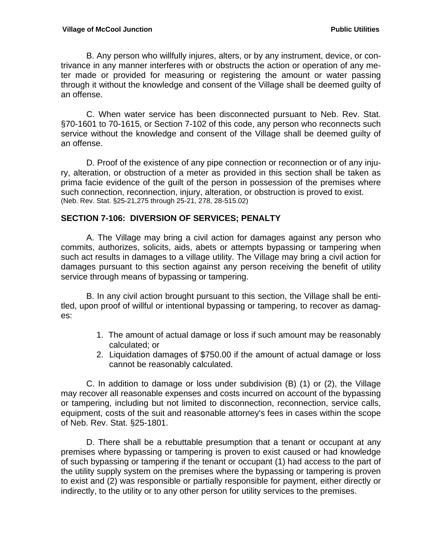B. Any person who willfully injures, alters, or by any instrument, device, or contrivance in any manner interferes with or obstructs the action or operation of any meter made or provided for measuring or registering the amount or water passing through it without the knowledge and consent of the Village shall be deemed guilty of an offense.

 C. When water service has been disconnected pursuant to Neb. Rev. Stat. §70-1601 to 70-1615, or Section 7-102 of this code, any person who reconnects such service without the knowledge and consent of the Village shall be deemed guilty of an offense.

 D. Proof of the existence of any pipe connection or reconnection or of any injury, alteration, or obstruction of a meter as provided in this section shall be taken as prima facie evidence of the guilt of the person in possession of the premises where such connection, reconnection, injury, alteration, or obstruction is proved to exist. (Neb. Rev. Stat. §25-21,275 through 25-21, 278, 28-515.02)

### **SECTION 7-106: DIVERSION OF SERVICES; PENALTY**

 A. The Village may bring a civil action for damages against any person who commits, authorizes, solicits, aids, abets or attempts bypassing or tampering when such act results in damages to a village utility. The Village may bring a civil action for damages pursuant to this section against any person receiving the benefit of utility service through means of bypassing or tampering.

 B. In any civil action brought pursuant to this section, the Village shall be entitled, upon proof of willful or intentional bypassing or tampering, to recover as damages:

- 1. The amount of actual damage or loss if such amount may be reasonably calculated; or
- 2. Liquidation damages of \$750.00 if the amount of actual damage or loss cannot be reasonably calculated.

 C. In addition to damage or loss under subdivision (B) (1) or (2), the Village may recover all reasonable expenses and costs incurred on account of the bypassing or tampering, including but not limited to disconnection, reconnection, service calls, equipment, costs of the suit and reasonable attorney's fees in cases within the scope of Neb. Rev. Stat. §25-1801.

 D. There shall be a rebuttable presumption that a tenant or occupant at any premises where bypassing or tampering is proven to exist caused or had knowledge of such bypassing or tampering if the tenant or occupant (1) had access to the part of the utility supply system on the premises where the bypassing or tampering is proven to exist and (2) was responsible or partially responsible for payment, either directly or indirectly, to the utility or to any other person for utility services to the premises.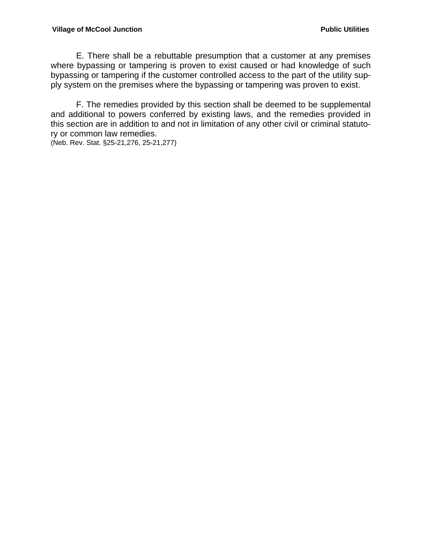#### **Village of McCool Junction** *Public Utilities* **<b>Public Utilities**

 E. There shall be a rebuttable presumption that a customer at any premises where bypassing or tampering is proven to exist caused or had knowledge of such bypassing or tampering if the customer controlled access to the part of the utility supply system on the premises where the bypassing or tampering was proven to exist.

 F. The remedies provided by this section shall be deemed to be supplemental and additional to powers conferred by existing laws, and the remedies provided in this section are in addition to and not in limitation of any other civil or criminal statutory or common law remedies.

(Neb. Rev. Stat. §25-21,276, 25-21,277)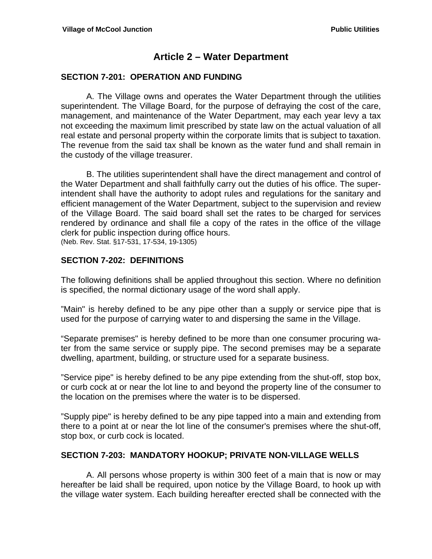## **Article 2 – Water Department**

#### **SECTION 7-201: OPERATION AND FUNDING**

 A. The Village owns and operates the Water Department through the utilities superintendent. The Village Board, for the purpose of defraying the cost of the care, management, and maintenance of the Water Department, may each year levy a tax not exceeding the maximum limit prescribed by state law on the actual valuation of all real estate and personal property within the corporate limits that is subject to taxation. The revenue from the said tax shall be known as the water fund and shall remain in the custody of the village treasurer.

 B. The utilities superintendent shall have the direct management and control of the Water Department and shall faithfully carry out the duties of his office. The superintendent shall have the authority to adopt rules and regulations for the sanitary and efficient management of the Water Department, subject to the supervision and review of the Village Board. The said board shall set the rates to be charged for services rendered by ordinance and shall file a copy of the rates in the office of the village clerk for public inspection during office hours. (Neb. Rev. Stat. §17-531, 17-534, 19-1305)

#### **SECTION 7-202: DEFINITIONS**

The following definitions shall be applied throughout this section. Where no definition is specified, the normal dictionary usage of the word shall apply.

"Main" is hereby defined to be any pipe other than a supply or service pipe that is used for the purpose of carrying water to and dispersing the same in the Village.

"Separate premises" is hereby defined to be more than one consumer procuring water from the same service or supply pipe. The second premises may be a separate dwelling, apartment, building, or structure used for a separate business.

"Service pipe" is hereby defined to be any pipe extending from the shut-off, stop box, or curb cock at or near the lot line to and beyond the property line of the consumer to the location on the premises where the water is to be dispersed.

"Supply pipe" is hereby defined to be any pipe tapped into a main and extending from there to a point at or near the lot line of the consumer's premises where the shut-off, stop box, or curb cock is located.

#### **SECTION 7-203: MANDATORY HOOKUP; PRIVATE NON-VILLAGE WELLS**

 A. All persons whose property is within 300 feet of a main that is now or may hereafter be laid shall be required, upon notice by the Village Board, to hook up with the village water system. Each building hereafter erected shall be connected with the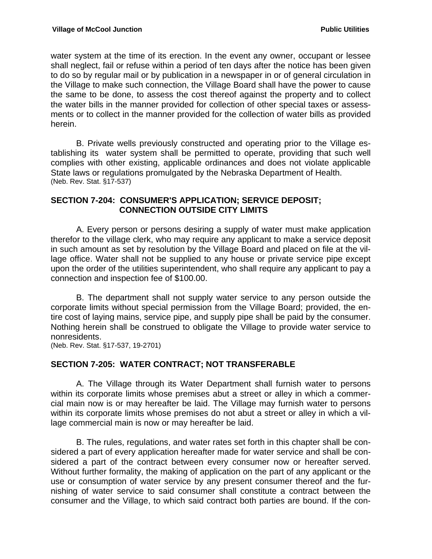water system at the time of its erection. In the event any owner, occupant or lessee shall neglect, fail or refuse within a period of ten days after the notice has been given to do so by regular mail or by publication in a newspaper in or of general circulation in the Village to make such connection, the Village Board shall have the power to cause the same to be done, to assess the cost thereof against the property and to collect the water bills in the manner provided for collection of other special taxes or assessments or to collect in the manner provided for the collection of water bills as provided herein.

 B. Private wells previously constructed and operating prior to the Village establishing its water system shall be permitted to operate, providing that such well complies with other existing, applicable ordinances and does not violate applicable State laws or regulations promulgated by the Nebraska Department of Health. (Neb. Rev. Stat. §17-537)

#### **SECTION 7-204: CONSUMER'S APPLICATION; SERVICE DEPOSIT; CONNECTION OUTSIDE CITY LIMITS**

 A. Every person or persons desiring a supply of water must make application therefor to the village clerk, who may require any applicant to make a service deposit in such amount as set by resolution by the Village Board and placed on file at the village office. Water shall not be supplied to any house or private service pipe except upon the order of the utilities superintendent, who shall require any applicant to pay a connection and inspection fee of \$100.00.

 B. The department shall not supply water service to any person outside the corporate limits without special permission from the Village Board; provided, the entire cost of laying mains, service pipe, and supply pipe shall be paid by the consumer. Nothing herein shall be construed to obligate the Village to provide water service to nonresidents.

(Neb. Rev. Stat. §17-537, 19-2701)

#### **SECTION 7-205: WATER CONTRACT; NOT TRANSFERABLE**

 A. The Village through its Water Department shall furnish water to persons within its corporate limits whose premises abut a street or alley in which a commercial main now is or may hereafter be laid. The Village may furnish water to persons within its corporate limits whose premises do not abut a street or alley in which a village commercial main is now or may hereafter be laid.

 B. The rules, regulations, and water rates set forth in this chapter shall be considered a part of every application hereafter made for water service and shall be considered a part of the contract between every consumer now or hereafter served. Without further formality, the making of application on the part of any applicant or the use or consumption of water service by any present consumer thereof and the furnishing of water service to said consumer shall constitute a contract between the consumer and the Village, to which said contract both parties are bound. If the con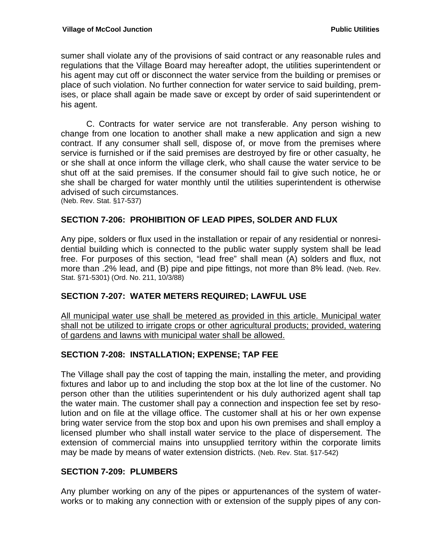sumer shall violate any of the provisions of said contract or any reasonable rules and regulations that the Village Board may hereafter adopt, the utilities superintendent or his agent may cut off or disconnect the water service from the building or premises or place of such violation. No further connection for water service to said building, premises, or place shall again be made save or except by order of said superintendent or his agent.

 C. Contracts for water service are not transferable. Any person wishing to change from one location to another shall make a new application and sign a new contract. If any consumer shall sell, dispose of, or move from the premises where service is furnished or if the said premises are destroyed by fire or other casualty, he or she shall at once inform the village clerk, who shall cause the water service to be shut off at the said premises. If the consumer should fail to give such notice, he or she shall be charged for water monthly until the utilities superintendent is otherwise advised of such circumstances.

(Neb. Rev. Stat. §17-537)

### **SECTION 7-206: PROHIBITION OF LEAD PIPES, SOLDER AND FLUX**

Any pipe, solders or flux used in the installation or repair of any residential or nonresidential building which is connected to the public water supply system shall be lead free. For purposes of this section, "lead free" shall mean (A) solders and flux, not more than .2% lead, and (B) pipe and pipe fittings, not more than 8% lead. (Neb. Rev. Stat. §71-5301) (Ord. No. 211, 10/3/88)

### **SECTION 7-207: WATER METERS REQUIRED; LAWFUL USE**

All municipal water use shall be metered as provided in this article. Municipal water shall not be utilized to irrigate crops or other agricultural products; provided, watering of gardens and lawns with municipal water shall be allowed.

### **SECTION 7-208: INSTALLATION; EXPENSE; TAP FEE**

The Village shall pay the cost of tapping the main, installing the meter, and providing fixtures and labor up to and including the stop box at the lot line of the customer. No person other than the utilities superintendent or his duly authorized agent shall tap the water main. The customer shall pay a connection and inspection fee set by resolution and on file at the village office. The customer shall at his or her own expense bring water service from the stop box and upon his own premises and shall employ a licensed plumber who shall install water service to the place of dispersement. The extension of commercial mains into unsupplied territory within the corporate limits may be made by means of water extension districts. (Neb. Rev. Stat. §17-542)

#### **SECTION 7-209: PLUMBERS**

Any plumber working on any of the pipes or appurtenances of the system of waterworks or to making any connection with or extension of the supply pipes of any con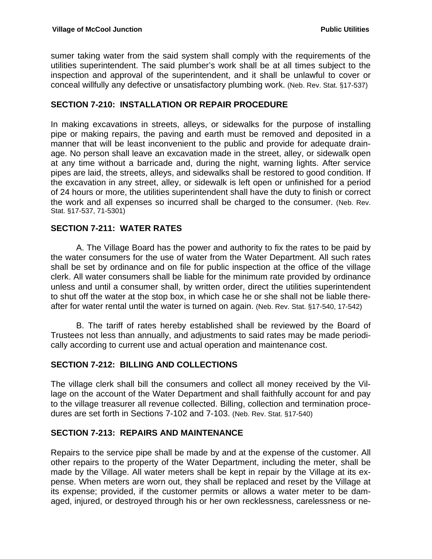sumer taking water from the said system shall comply with the requirements of the utilities superintendent. The said plumber's work shall be at all times subject to the inspection and approval of the superintendent, and it shall be unlawful to cover or conceal willfully any defective or unsatisfactory plumbing work. (Neb. Rev. Stat. §17-537)

### **SECTION 7-210: INSTALLATION OR REPAIR PROCEDURE**

In making excavations in streets, alleys, or sidewalks for the purpose of installing pipe or making repairs, the paving and earth must be removed and deposited in a manner that will be least inconvenient to the public and provide for adequate drainage. No person shall leave an excavation made in the street, alley, or sidewalk open at any time without a barricade and, during the night, warning lights. After service pipes are laid, the streets, alleys, and sidewalks shall be restored to good condition. If the excavation in any street, alley, or sidewalk is left open or unfinished for a period of 24 hours or more, the utilities superintendent shall have the duty to finish or correct the work and all expenses so incurred shall be charged to the consumer. (Neb. Rev. Stat. §17-537, 71-5301)

### **SECTION 7-211: WATER RATES**

A. The Village Board has the power and authority to fix the rates to be paid by the water consumers for the use of water from the Water Department. All such rates shall be set by ordinance and on file for public inspection at the office of the village clerk. All water consumers shall be liable for the minimum rate provided by ordinance unless and until a consumer shall, by written order, direct the utilities superintendent to shut off the water at the stop box, in which case he or she shall not be liable thereafter for water rental until the water is turned on again. (Neb. Rev. Stat. §17-540, 17-542)

 B. The tariff of rates hereby established shall be reviewed by the Board of Trustees not less than annually, and adjustments to said rates may be made periodically according to current use and actual operation and maintenance cost.

### **SECTION 7-212: BILLING AND COLLECTIONS**

The village clerk shall bill the consumers and collect all money received by the Village on the account of the Water Department and shall faithfully account for and pay to the village treasurer all revenue collected. Billing, collection and termination procedures are set forth in Sections 7-102 and 7-103. (Neb. Rev. Stat. §17-540)

#### **SECTION 7-213: REPAIRS AND MAINTENANCE**

Repairs to the service pipe shall be made by and at the expense of the customer. All other repairs to the property of the Water Department, including the meter, shall be made by the Village. All water meters shall be kept in repair by the Village at its expense. When meters are worn out, they shall be replaced and reset by the Village at its expense; provided, if the customer permits or allows a water meter to be damaged, injured, or destroyed through his or her own recklessness, carelessness or ne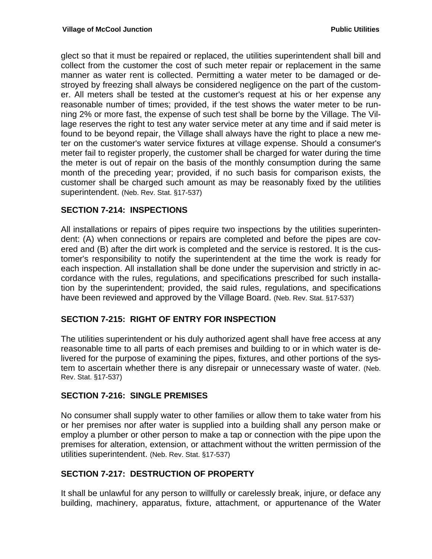glect so that it must be repaired or replaced, the utilities superintendent shall bill and collect from the customer the cost of such meter repair or replacement in the same manner as water rent is collected. Permitting a water meter to be damaged or destroyed by freezing shall always be considered negligence on the part of the customer. All meters shall be tested at the customer's request at his or her expense any reasonable number of times; provided, if the test shows the water meter to be running 2% or more fast, the expense of such test shall be borne by the Village. The Village reserves the right to test any water service meter at any time and if said meter is found to be beyond repair, the Village shall always have the right to place a new meter on the customer's water service fixtures at village expense. Should a consumer's meter fail to register properly, the customer shall be charged for water during the time the meter is out of repair on the basis of the monthly consumption during the same month of the preceding year; provided, if no such basis for comparison exists, the customer shall be charged such amount as may be reasonably fixed by the utilities superintendent. (Neb. Rev. Stat. §17-537)

### **SECTION 7-214: INSPECTIONS**

All installations or repairs of pipes require two inspections by the utilities superintendent: (A) when connections or repairs are completed and before the pipes are covered and (B) after the dirt work is completed and the service is restored. It is the customer's responsibility to notify the superintendent at the time the work is ready for each inspection. All installation shall be done under the supervision and strictly in accordance with the rules, regulations, and specifications prescribed for such installation by the superintendent; provided, the said rules, regulations, and specifications have been reviewed and approved by the Village Board. (Neb. Rev. Stat. §17-537)

#### **SECTION 7-215: RIGHT OF ENTRY FOR INSPECTION**

The utilities superintendent or his duly authorized agent shall have free access at any reasonable time to all parts of each premises and building to or in which water is delivered for the purpose of examining the pipes, fixtures, and other portions of the system to ascertain whether there is any disrepair or unnecessary waste of water. (Neb. Rev. Stat. §17-537)

#### **SECTION 7-216: SINGLE PREMISES**

No consumer shall supply water to other families or allow them to take water from his or her premises nor after water is supplied into a building shall any person make or employ a plumber or other person to make a tap or connection with the pipe upon the premises for alteration, extension, or attachment without the written permission of the utilities superintendent. (Neb. Rev. Stat. §17-537)

#### **SECTION 7-217: DESTRUCTION OF PROPERTY**

It shall be unlawful for any person to willfully or carelessly break, injure, or deface any building, machinery, apparatus, fixture, attachment, or appurtenance of the Water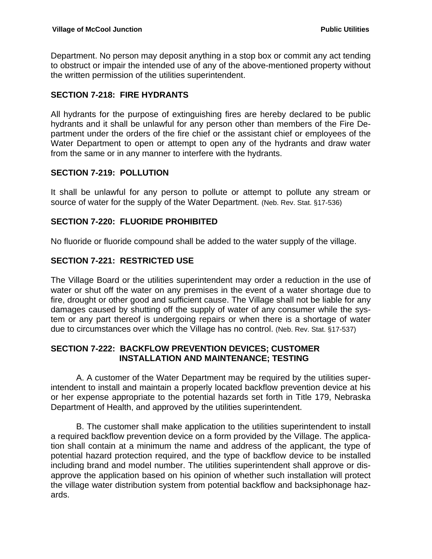Department. No person may deposit anything in a stop box or commit any act tending to obstruct or impair the intended use of any of the above-mentioned property without the written permission of the utilities superintendent.

### **SECTION 7-218: FIRE HYDRANTS**

All hydrants for the purpose of extinguishing fires are hereby declared to be public hydrants and it shall be unlawful for any person other than members of the Fire Department under the orders of the fire chief or the assistant chief or employees of the Water Department to open or attempt to open any of the hydrants and draw water from the same or in any manner to interfere with the hydrants.

### **SECTION 7-219: POLLUTION**

It shall be unlawful for any person to pollute or attempt to pollute any stream or source of water for the supply of the Water Department. (Neb. Rev. Stat. §17-536)

### **SECTION 7-220: FLUORIDE PROHIBITED**

No fluoride or fluoride compound shall be added to the water supply of the village.

## **SECTION 7-221: RESTRICTED USE**

The Village Board or the utilities superintendent may order a reduction in the use of water or shut off the water on any premises in the event of a water shortage due to fire, drought or other good and sufficient cause. The Village shall not be liable for any damages caused by shutting off the supply of water of any consumer while the system or any part thereof is undergoing repairs or when there is a shortage of water due to circumstances over which the Village has no control. (Neb. Rev. Stat. §17-537)

### **SECTION 7-222: BACKFLOW PREVENTION DEVICES; CUSTOMER INSTALLATION AND MAINTENANCE; TESTING**

 A. A customer of the Water Department may be required by the utilities superintendent to install and maintain a properly located backflow prevention device at his or her expense appropriate to the potential hazards set forth in Title 179, Nebraska Department of Health, and approved by the utilities superintendent.

 B. The customer shall make application to the utilities superintendent to install a required backflow prevention device on a form provided by the Village. The application shall contain at a minimum the name and address of the applicant, the type of potential hazard protection required, and the type of backflow device to be installed including brand and model number. The utilities superintendent shall approve or disapprove the application based on his opinion of whether such installation will protect the village water distribution system from potential backflow and backsiphonage hazards.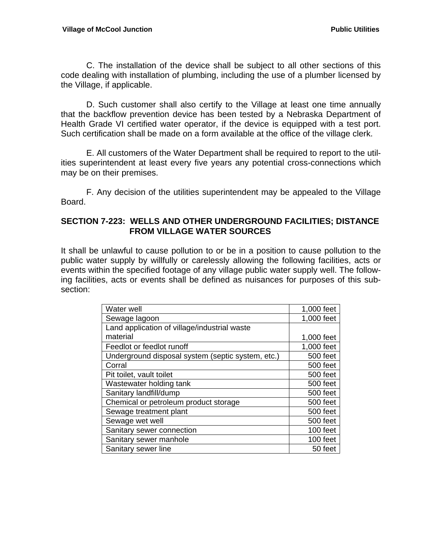C. The installation of the device shall be subject to all other sections of this code dealing with installation of plumbing, including the use of a plumber licensed by the Village, if applicable.

 D. Such customer shall also certify to the Village at least one time annually that the backflow prevention device has been tested by a Nebraska Department of Health Grade VI certified water operator, if the device is equipped with a test port. Such certification shall be made on a form available at the office of the village clerk.

E. All customers of the Water Department shall be required to report to the utilities superintendent at least every five years any potential cross-connections which may be on their premises.

 F. Any decision of the utilities superintendent may be appealed to the Village Board.

#### **SECTION 7-223: WELLS AND OTHER UNDERGROUND FACILITIES; DISTANCE FROM VILLAGE WATER SOURCES**

It shall be unlawful to cause pollution to or be in a position to cause pollution to the public water supply by willfully or carelessly allowing the following facilities, acts or events within the specified footage of any village public water supply well. The following facilities, acts or events shall be defined as nuisances for purposes of this subsection:

| Water well                                        | 1,000 feet |
|---------------------------------------------------|------------|
| Sewage lagoon                                     | 1,000 feet |
| Land application of village/industrial waste      |            |
| material                                          | 1,000 feet |
| Feedlot or feedlot runoff                         | 1,000 feet |
| Underground disposal system (septic system, etc.) | 500 feet   |
| Corral                                            | 500 feet   |
| Pit toilet, vault toilet                          | 500 feet   |
| Wastewater holding tank                           | 500 feet   |
| Sanitary landfill/dump                            | 500 feet   |
| Chemical or petroleum product storage             | 500 feet   |
| Sewage treatment plant                            | 500 feet   |
| Sewage wet well                                   | 500 feet   |
| Sanitary sewer connection                         | 100 feet   |
| Sanitary sewer manhole                            | 100 feet   |
| Sanitary sewer line                               | 50 feet    |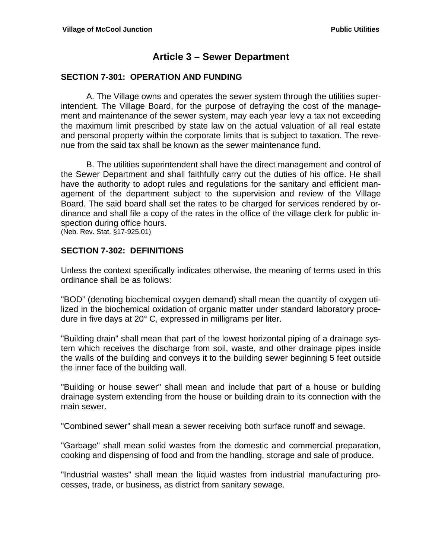## **Article 3 – Sewer Department**

#### **SECTION 7-301: OPERATION AND FUNDING**

A. The Village owns and operates the sewer system through the utilities superintendent. The Village Board, for the purpose of defraying the cost of the management and maintenance of the sewer system, may each year levy a tax not exceeding the maximum limit prescribed by state law on the actual valuation of all real estate and personal property within the corporate limits that is subject to taxation. The revenue from the said tax shall be known as the sewer maintenance fund.

B. The utilities superintendent shall have the direct management and control of the Sewer Department and shall faithfully carry out the duties of his office. He shall have the authority to adopt rules and regulations for the sanitary and efficient management of the department subject to the supervision and review of the Village Board. The said board shall set the rates to be charged for services rendered by ordinance and shall file a copy of the rates in the office of the village clerk for public inspection during office hours.

(Neb. Rev. Stat. §17-925.01)

### **SECTION 7-302: DEFINITIONS**

Unless the context specifically indicates otherwise, the meaning of terms used in this ordinance shall be as follows:

"BOD" (denoting biochemical oxygen demand) shall mean the quantity of oxygen utilized in the biochemical oxidation of organic matter under standard laboratory procedure in five days at 20° C, expressed in milligrams per liter.

"Building drain" shall mean that part of the lowest horizontal piping of a drainage system which receives the discharge from soil, waste, and other drainage pipes inside the walls of the building and conveys it to the building sewer beginning 5 feet outside the inner face of the building wall.

"Building or house sewer" shall mean and include that part of a house or building drainage system extending from the house or building drain to its connection with the main sewer.

"Combined sewer" shall mean a sewer receiving both surface runoff and sewage.

"Garbage" shall mean solid wastes from the domestic and commercial preparation, cooking and dispensing of food and from the handling, storage and sale of produce.

"Industrial wastes" shall mean the liquid wastes from industrial manufacturing processes, trade, or business, as district from sanitary sewage.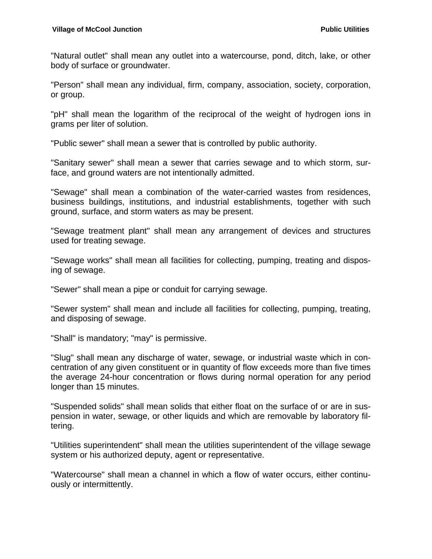"Natural outlet" shall mean any outlet into a watercourse, pond, ditch, lake, or other body of surface or groundwater.

"Person" shall mean any individual, firm, company, association, society, corporation, or group.

"pH" shall mean the logarithm of the reciprocal of the weight of hydrogen ions in grams per liter of solution.

"Public sewer" shall mean a sewer that is controlled by public authority.

"Sanitary sewer" shall mean a sewer that carries sewage and to which storm, surface, and ground waters are not intentionally admitted.

"Sewage" shall mean a combination of the water-carried wastes from residences, business buildings, institutions, and industrial establishments, together with such ground, surface, and storm waters as may be present.

"Sewage treatment plant" shall mean any arrangement of devices and structures used for treating sewage.

"Sewage works" shall mean all facilities for collecting, pumping, treating and disposing of sewage.

"Sewer" shall mean a pipe or conduit for carrying sewage.

"Sewer system" shall mean and include all facilities for collecting, pumping, treating, and disposing of sewage.

"Shall" is mandatory; "may" is permissive.

"Slug" shall mean any discharge of water, sewage, or industrial waste which in concentration of any given constituent or in quantity of flow exceeds more than five times the average 24-hour concentration or flows during normal operation for any period longer than 15 minutes.

"Suspended solids" shall mean solids that either float on the surface of or are in suspension in water, sewage, or other liquids and which are removable by laboratory filtering.

"Utilities superintendent" shall mean the utilities superintendent of the village sewage system or his authorized deputy, agent or representative.

"Watercourse" shall mean a channel in which a flow of water occurs, either continuously or intermittently.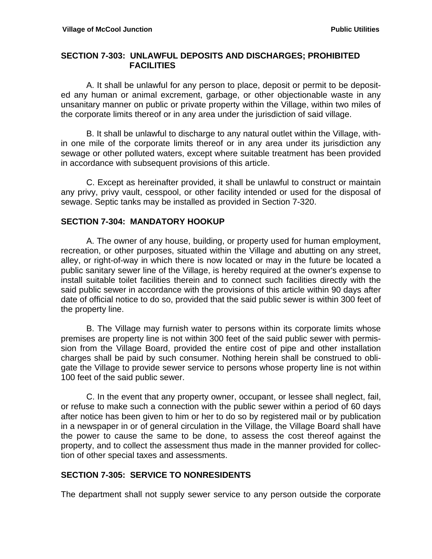#### **SECTION 7-303: UNLAWFUL DEPOSITS AND DISCHARGES; PROHIBITED FACILITIES**

A. It shall be unlawful for any person to place, deposit or permit to be deposited any human or animal excrement, garbage, or other objectionable waste in any unsanitary manner on public or private property within the Village, within two miles of the corporate limits thereof or in any area under the jurisdiction of said village.

B. It shall be unlawful to discharge to any natural outlet within the Village, within one mile of the corporate limits thereof or in any area under its jurisdiction any sewage or other polluted waters, except where suitable treatment has been provided in accordance with subsequent provisions of this article.

 C. Except as hereinafter provided, it shall be unlawful to construct or maintain any privy, privy vault, cesspool, or other facility intended or used for the disposal of sewage. Septic tanks may be installed as provided in Section 7-320.

#### **SECTION 7-304: MANDATORY HOOKUP**

 A. The owner of any house, building, or property used for human employment, recreation, or other purposes, situated within the Village and abutting on any street, alley, or right-of-way in which there is now located or may in the future be located a public sanitary sewer line of the Village, is hereby required at the owner's expense to install suitable toilet facilities therein and to connect such facilities directly with the said public sewer in accordance with the provisions of this article within 90 days after date of official notice to do so, provided that the said public sewer is within 300 feet of the property line.

 B. The Village may furnish water to persons within its corporate limits whose premises are property line is not within 300 feet of the said public sewer with permission from the Village Board, provided the entire cost of pipe and other installation charges shall be paid by such consumer. Nothing herein shall be construed to obligate the Village to provide sewer service to persons whose property line is not within 100 feet of the said public sewer.

C. In the event that any property owner, occupant, or lessee shall neglect, fail, or refuse to make such a connection with the public sewer within a period of 60 days after notice has been given to him or her to do so by registered mail or by publication in a newspaper in or of general circulation in the Village, the Village Board shall have the power to cause the same to be done, to assess the cost thereof against the property, and to collect the assessment thus made in the manner provided for collection of other special taxes and assessments.

### **SECTION 7-305: SERVICE TO NONRESIDENTS**

The department shall not supply sewer service to any person outside the corporate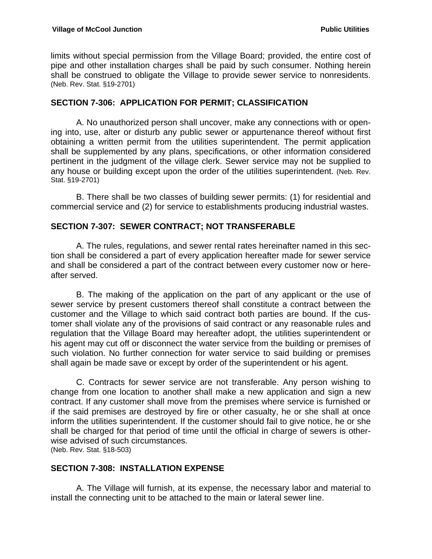limits without special permission from the Village Board; provided, the entire cost of pipe and other installation charges shall be paid by such consumer. Nothing herein shall be construed to obligate the Village to provide sewer service to nonresidents. (Neb. Rev. Stat. §19-2701)

#### **SECTION 7-306: APPLICATION FOR PERMIT; CLASSIFICATION**

A. No unauthorized person shall uncover, make any connections with or opening into, use, alter or disturb any public sewer or appurtenance thereof without first obtaining a written permit from the utilities superintendent. The permit application shall be supplemented by any plans, specifications, or other information considered pertinent in the judgment of the village clerk. Sewer service may not be supplied to any house or building except upon the order of the utilities superintendent. (Neb. Rev. Stat. §19-2701)

B. There shall be two classes of building sewer permits: (1) for residential and commercial service and (2) for service to establishments producing industrial wastes.

#### **SECTION 7-307: SEWER CONTRACT; NOT TRANSFERABLE**

A. The rules, regulations, and sewer rental rates hereinafter named in this section shall be considered a part of every application hereafter made for sewer service and shall be considered a part of the contract between every customer now or hereafter served.

B. The making of the application on the part of any applicant or the use of sewer service by present customers thereof shall constitute a contract between the customer and the Village to which said contract both parties are bound. If the customer shall violate any of the provisions of said contract or any reasonable rules and regulation that the Village Board may hereafter adopt, the utilities superintendent or his agent may cut off or disconnect the water service from the building or premises of such violation. No further connection for water service to said building or premises shall again be made save or except by order of the superintendent or his agent.

 C. Contracts for sewer service are not transferable. Any person wishing to change from one location to another shall make a new application and sign a new contract. If any customer shall move from the premises where service is furnished or if the said premises are destroyed by fire or other casualty, he or she shall at once inform the utilities superintendent. If the customer should fail to give notice, he or she shall be charged for that period of time until the official in charge of sewers is otherwise advised of such circumstances.

(Neb. Rev. Stat. §18-503)

#### **SECTION 7-308: INSTALLATION EXPENSE**

 A. The Village will furnish, at its expense, the necessary labor and material to install the connecting unit to be attached to the main or lateral sewer line.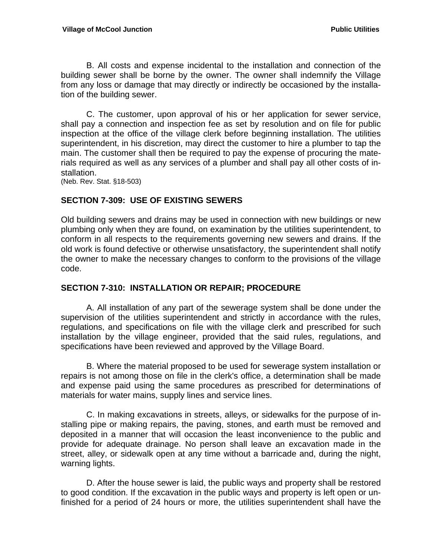B. All costs and expense incidental to the installation and connection of the building sewer shall be borne by the owner. The owner shall indemnify the Village from any loss or damage that may directly or indirectly be occasioned by the installation of the building sewer.

 C. The customer, upon approval of his or her application for sewer service, shall pay a connection and inspection fee as set by resolution and on file for public inspection at the office of the village clerk before beginning installation. The utilities superintendent, in his discretion, may direct the customer to hire a plumber to tap the main. The customer shall then be required to pay the expense of procuring the materials required as well as any services of a plumber and shall pay all other costs of installation.

(Neb. Rev. Stat. §18-503)

#### **SECTION 7-309: USE OF EXISTING SEWERS**

Old building sewers and drains may be used in connection with new buildings or new plumbing only when they are found, on examination by the utilities superintendent, to conform in all respects to the requirements governing new sewers and drains. If the old work is found defective or otherwise unsatisfactory, the superintendent shall notify the owner to make the necessary changes to conform to the provisions of the village code.

#### **SECTION 7-310: INSTALLATION OR REPAIR; PROCEDURE**

A. All installation of any part of the sewerage system shall be done under the supervision of the utilities superintendent and strictly in accordance with the rules, regulations, and specifications on file with the village clerk and prescribed for such installation by the village engineer, provided that the said rules, regulations, and specifications have been reviewed and approved by the Village Board.

B. Where the material proposed to be used for sewerage system installation or repairs is not among those on file in the clerk's office, a determination shall be made and expense paid using the same procedures as prescribed for determinations of materials for water mains, supply lines and service lines.

C. In making excavations in streets, alleys, or sidewalks for the purpose of installing pipe or making repairs, the paving, stones, and earth must be removed and deposited in a manner that will occasion the least inconvenience to the public and provide for adequate drainage. No person shall leave an excavation made in the street, alley, or sidewalk open at any time without a barricade and, during the night, warning lights.

 D. After the house sewer is laid, the public ways and property shall be restored to good condition. If the excavation in the public ways and property is left open or unfinished for a period of 24 hours or more, the utilities superintendent shall have the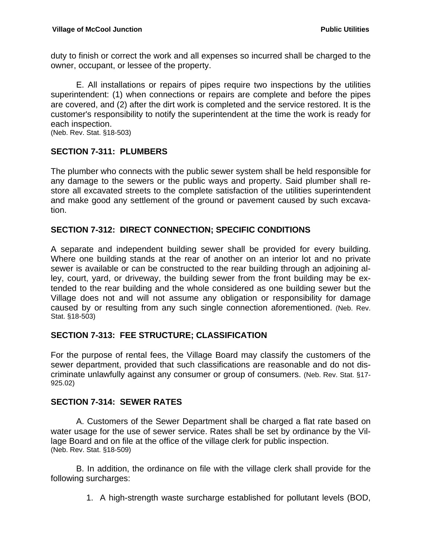duty to finish or correct the work and all expenses so incurred shall be charged to the owner, occupant, or lessee of the property.

 E. All installations or repairs of pipes require two inspections by the utilities superintendent: (1) when connections or repairs are complete and before the pipes are covered, and (2) after the dirt work is completed and the service restored. It is the customer's responsibility to notify the superintendent at the time the work is ready for each inspection.

(Neb. Rev. Stat. §18-503)

### **SECTION 7-311: PLUMBERS**

The plumber who connects with the public sewer system shall be held responsible for any damage to the sewers or the public ways and property. Said plumber shall restore all excavated streets to the complete satisfaction of the utilities superintendent and make good any settlement of the ground or pavement caused by such excavation.

### **SECTION 7-312: DIRECT CONNECTION; SPECIFIC CONDITIONS**

A separate and independent building sewer shall be provided for every building. Where one building stands at the rear of another on an interior lot and no private sewer is available or can be constructed to the rear building through an adjoining alley, court, yard, or driveway, the building sewer from the front building may be extended to the rear building and the whole considered as one building sewer but the Village does not and will not assume any obligation or responsibility for damage caused by or resulting from any such single connection aforementioned. (Neb. Rev. Stat. §18-503)

#### **SECTION 7-313: FEE STRUCTURE; CLASSIFICATION**

For the purpose of rental fees, the Village Board may classify the customers of the sewer department, provided that such classifications are reasonable and do not discriminate unlawfully against any consumer or group of consumers. (Neb. Rev. Stat. §17- 925.02)

#### **SECTION 7-314: SEWER RATES**

A. Customers of the Sewer Department shall be charged a flat rate based on water usage for the use of sewer service. Rates shall be set by ordinance by the Village Board and on file at the office of the village clerk for public inspection. (Neb. Rev. Stat. §18-509)

B. In addition, the ordinance on file with the village clerk shall provide for the following surcharges:

1. A high-strength waste surcharge established for pollutant levels (BOD,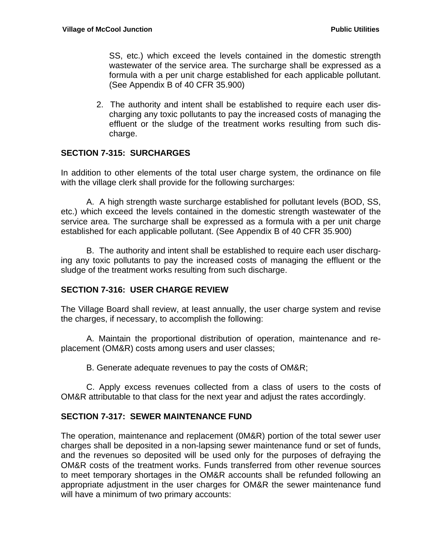SS, etc.) which exceed the levels contained in the domestic strength wastewater of the service area. The surcharge shall be expressed as a formula with a per unit charge established for each applicable pollutant. (See Appendix B of 40 CFR 35.900)

2. The authority and intent shall be established to require each user discharging any toxic pollutants to pay the increased costs of managing the effluent or the sludge of the treatment works resulting from such discharge.

### **SECTION 7-315: SURCHARGES**

In addition to other elements of the total user charge system, the ordinance on file with the village clerk shall provide for the following surcharges:

A. A high strength waste surcharge established for pollutant levels (BOD, SS, etc.) which exceed the levels contained in the domestic strength wastewater of the service area. The surcharge shall be expressed as a formula with a per unit charge established for each applicable pollutant. (See Appendix B of 40 CFR 35.900)

B. The authority and intent shall be established to require each user discharging any toxic pollutants to pay the increased costs of managing the effluent or the sludge of the treatment works resulting from such discharge.

#### **SECTION 7-316: USER CHARGE REVIEW**

The Village Board shall review, at Ieast annually, the user charge system and revise the charges, if necessary, to accomplish the following:

A. Maintain the proportional distribution of operation, maintenance and replacement (OM&R) costs among users and user classes;

B. Generate adequate revenues to pay the costs of OM&R;

C. Apply excess revenues collected from a class of users to the costs of OM&R attributable to that class for the next year and adjust the rates accordingly.

### **SECTION 7-317: SEWER MAINTENANCE FUND**

The operation, maintenance and replacement (0M&R) portion of the total sewer user charges shall be deposited in a non-lapsing sewer maintenance fund or set of funds, and the revenues so deposited will be used only for the purposes of defraying the OM&R costs of the treatment works. Funds transferred from other revenue sources to meet temporary shortages in the OM&R accounts shall be refunded following an appropriate adjustment in the user charges for OM&R the sewer maintenance fund will have a minimum of two primary accounts: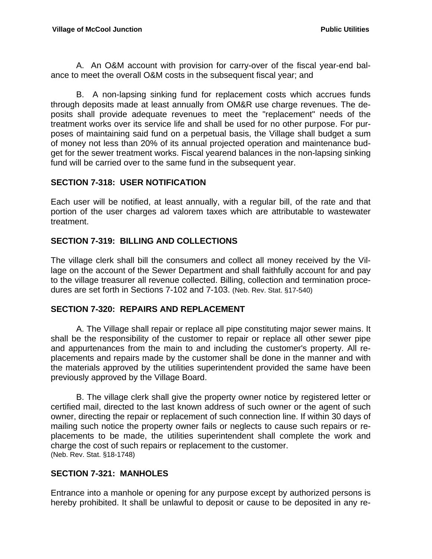A. An O&M account with provision for carry-over of the fiscal year-end balance to meet the overall O&M costs in the subsequent fiscal year; and

B. A non-lapsing sinking fund for replacement costs which accrues funds through deposits made at least annually from OM&R use charge revenues. The deposits shall provide adequate revenues to meet the "replacement" needs of the treatment works over its service life and shall be used for no other purpose. For purposes of maintaining said fund on a perpetual basis, the Village shall budget a sum of money not less than 20% of its annual projected operation and maintenance budget for the sewer treatment works. Fiscal yearend balances in the non-lapsing sinking fund will be carried over to the same fund in the subsequent year.

### **SECTION 7-318: USER NOTIFICATION**

Each user will be notified, at least annually, with a regular bill, of the rate and that portion of the user charges ad valorem taxes which are attributable to wastewater treatment.

### **SECTION 7-319: BILLING AND COLLECTIONS**

The village clerk shall bill the consumers and collect all money received by the Village on the account of the Sewer Department and shall faithfully account for and pay to the village treasurer all revenue collected. Billing, collection and termination procedures are set forth in Sections 7-102 and 7-103. (Neb. Rev. Stat. §17-540)

### **SECTION 7-320: REPAIRS AND REPLACEMENT**

 A. The Village shall repair or replace all pipe constituting major sewer mains. It shall be the responsibility of the customer to repair or replace all other sewer pipe and appurtenances from the main to and including the customer's property. All replacements and repairs made by the customer shall be done in the manner and with the materials approved by the utilities superintendent provided the same have been previously approved by the Village Board.

 B. The village clerk shall give the property owner notice by registered letter or certified mail, directed to the last known address of such owner or the agent of such owner, directing the repair or replacement of such connection line. If within 30 days of mailing such notice the property owner fails or neglects to cause such repairs or replacements to be made, the utilities superintendent shall complete the work and charge the cost of such repairs or replacement to the customer. (Neb. Rev. Stat. §18-1748)

## **SECTION 7-321: MANHOLES**

Entrance into a manhole or opening for any purpose except by authorized persons is hereby prohibited. It shall be unlawful to deposit or cause to be deposited in any re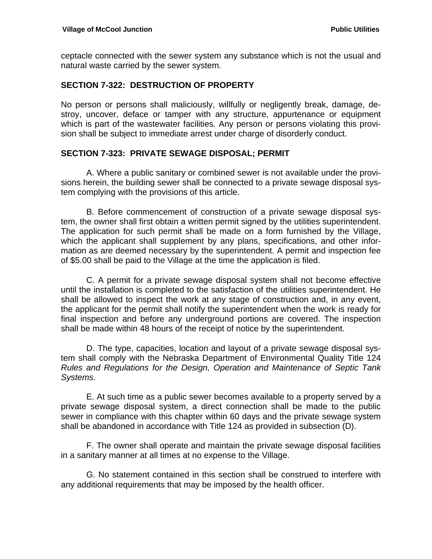ceptacle connected with the sewer system any substance which is not the usual and natural waste carried by the sewer system.

#### **SECTION 7-322: DESTRUCTION OF PROPERTY**

No person or persons shall maliciously, willfully or negligently break, damage, destroy, uncover, deface or tamper with any structure, appurtenance or equipment which is part of the wastewater facilities. Any person or persons violating this provision shall be subject to immediate arrest under charge of disorderly conduct.

#### **SECTION 7-323: PRIVATE SEWAGE DISPOSAL; PERMIT**

 A. Where a public sanitary or combined sewer is not available under the provisions herein, the building sewer shall be connected to a private sewage disposal system complying with the provisions of this article.

 B. Before commencement of construction of a private sewage disposal system, the owner shall first obtain a written permit signed by the utilities superintendent. The application for such permit shall be made on a form furnished by the Village, which the applicant shall supplement by any plans, specifications, and other information as are deemed necessary by the superintendent. A permit and inspection fee of \$5.00 shall be paid to the Village at the time the application is filed.

 C. A permit for a private sewage disposal system shall not become effective until the installation is completed to the satisfaction of the utilities superintendent. He shall be allowed to inspect the work at any stage of construction and, in any event, the applicant for the permit shall notify the superintendent when the work is ready for final inspection and before any underground portions are covered. The inspection shall be made within 48 hours of the receipt of notice by the superintendent.

 D. The type, capacities, location and layout of a private sewage disposal system shall comply with the Nebraska Department of Environmental Quality Title 124 *Rules and Regulations for the Design, Operation and Maintenance of Septic Tank Systems*.

 E. At such time as a public sewer becomes available to a property served by a private sewage disposal system, a direct connection shall be made to the public sewer in compliance with this chapter within 60 days and the private sewage system shall be abandoned in accordance with Title 124 as provided in subsection (D).

 F. The owner shall operate and maintain the private sewage disposal facilities in a sanitary manner at all times at no expense to the Village.

 G. No statement contained in this section shall be construed to interfere with any additional requirements that may be imposed by the health officer.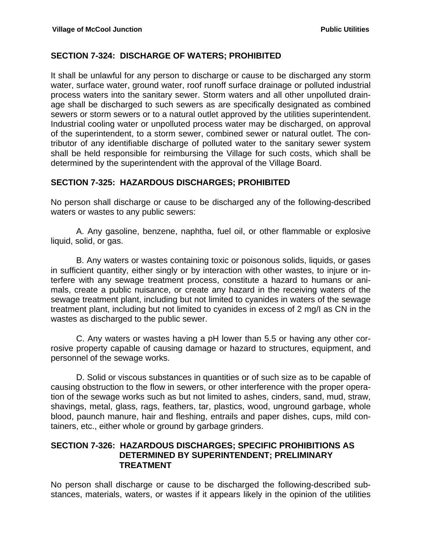#### **SECTION 7-324: DISCHARGE OF WATERS; PROHIBITED**

It shall be unlawful for any person to discharge or cause to be discharged any storm water, surface water, ground water, roof runoff surface drainage or polluted industrial process waters into the sanitary sewer. Storm waters and all other unpolluted drainage shall be discharged to such sewers as are specifically designated as combined sewers or storm sewers or to a natural outlet approved by the utilities superintendent. Industrial cooling water or unpolluted process water may be discharged, on approval of the superintendent, to a storm sewer, combined sewer or natural outlet. The contributor of any identifiable discharge of polluted water to the sanitary sewer system shall be held responsible for reimbursing the Village for such costs, which shall be determined by the superintendent with the approval of the Village Board.

### **SECTION 7-325: HAZARDOUS DISCHARGES; PROHIBITED**

No person shall discharge or cause to be discharged any of the following-described waters or wastes to any public sewers:

 A. Any gasoline, benzene, naphtha, fuel oil, or other flammable or explosive liquid, solid, or gas.

 B. Any waters or wastes containing toxic or poisonous solids, liquids, or gases in sufficient quantity, either singly or by interaction with other wastes, to injure or interfere with any sewage treatment process, constitute a hazard to humans or animals, create a public nuisance, or create any hazard in the receiving waters of the sewage treatment plant, including but not limited to cyanides in waters of the sewage treatment plant, including but not limited to cyanides in excess of 2 mg/I as CN in the wastes as discharged to the public sewer.

 C. Any waters or wastes having a pH lower than 5.5 or having any other corrosive property capable of causing damage or hazard to structures, equipment, and personnel of the sewage works.

 D. Solid or viscous substances in quantities or of such size as to be capable of causing obstruction to the flow in sewers, or other interference with the proper operation of the sewage works such as but not limited to ashes, cinders, sand, mud, straw, shavings, metal, glass, rags, feathers, tar, plastics, wood, unground garbage, whole blood, paunch manure, hair and fleshing, entrails and paper dishes, cups, mild containers, etc., either whole or ground by garbage grinders.

#### **SECTION 7-326: HAZARDOUS DISCHARGES; SPECIFIC PROHIBITIONS AS DETERMINED BY SUPERINTENDENT; PRELIMINARY TREATMENT**

No person shall discharge or cause to be discharged the following-described substances, materials, waters, or wastes if it appears likely in the opinion of the utilities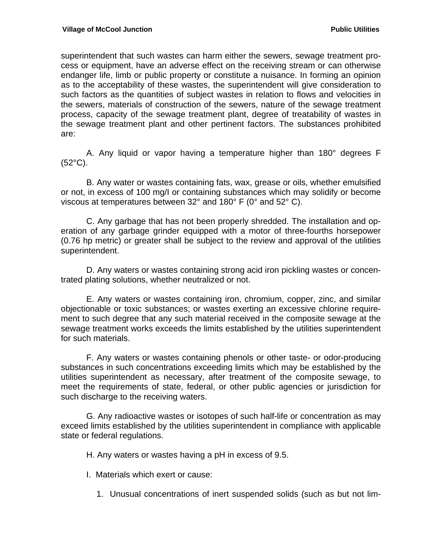superintendent that such wastes can harm either the sewers, sewage treatment process or equipment, have an adverse effect on the receiving stream or can otherwise endanger life, limb or public property or constitute a nuisance. In forming an opinion as to the acceptability of these wastes, the superintendent will give consideration to such factors as the quantities of subject wastes in relation to flows and velocities in the sewers, materials of construction of the sewers, nature of the sewage treatment process, capacity of the sewage treatment plant, degree of treatability of wastes in the sewage treatment plant and other pertinent factors. The substances prohibited are:

 A. Any liquid or vapor having a temperature higher than 180° degrees F (52°C).

 B. Any water or wastes containing fats, wax, grease or oils, whether emulsified or not, in excess of 100 mg/I or containing substances which may solidify or become viscous at temperatures between 32° and 180° F (0° and 52° C).

 C. Any garbage that has not been properly shredded. The installation and operation of any garbage grinder equipped with a motor of three-fourths horsepower (0.76 hp metric) or greater shall be subject to the review and approval of the utilities superintendent.

 D. Any waters or wastes containing strong acid iron pickling wastes or concentrated plating solutions, whether neutralized or not.

 E. Any waters or wastes containing iron, chromium, copper, zinc, and similar objectionable or toxic substances; or wastes exerting an excessive chlorine requirement to such degree that any such material received in the composite sewage at the sewage treatment works exceeds the limits established by the utilities superintendent for such materials.

 F. Any waters or wastes containing phenols or other taste- or odor-producing substances in such concentrations exceeding limits which may be established by the utilities superintendent as necessary, after treatment of the composite sewage, to meet the requirements of state, federal, or other public agencies or jurisdiction for such discharge to the receiving waters.

 G. Any radioactive wastes or isotopes of such half-life or concentration as may exceed limits established by the utilities superintendent in compliance with applicable state or federal regulations.

H. Any waters or wastes having a pH in excess of 9.5.

- I. Materials which exert or cause:
	- 1. Unusual concentrations of inert suspended solids (such as but not lim-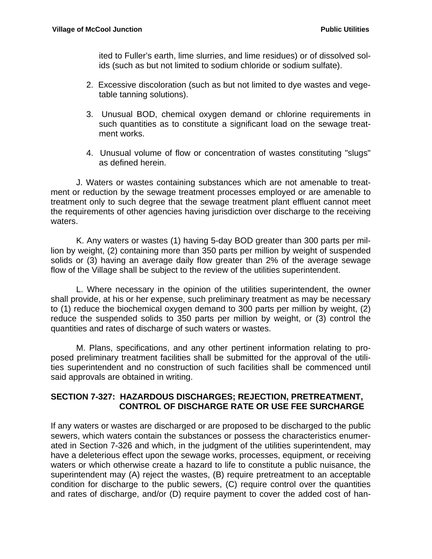ited to Fuller's earth, lime slurries, and lime residues) or of dissolved solids (such as but not limited to sodium chloride or sodium sulfate).

- 2. Excessive discoloration (such as but not limited to dye wastes and vegetable tanning solutions).
- 3. Unusual BOD, chemical oxygen demand or chlorine requirements in such quantities as to constitute a significant load on the sewage treatment works.
- 4. Unusual volume of flow or concentration of wastes constituting "slugs" as defined herein.

 J. Waters or wastes containing substances which are not amenable to treatment or reduction by the sewage treatment processes employed or are amenable to treatment only to such degree that the sewage treatment plant effluent cannot meet the requirements of other agencies having jurisdiction over discharge to the receiving waters.

 K. Any waters or wastes (1) having 5-day BOD greater than 300 parts per million by weight, (2) containing more than 350 parts per million by weight of suspended solids or (3) having an average daily flow greater than 2% of the average sewage flow of the Village shall be subject to the review of the utilities superintendent.

 L. Where necessary in the opinion of the utilities superintendent, the owner shall provide, at his or her expense, such preliminary treatment as may be necessary to (1) reduce the biochemical oxygen demand to 300 parts per million by weight, (2) reduce the suspended solids to 350 parts per million by weight, or (3) control the quantities and rates of discharge of such waters or wastes.

 M. Plans, specifications, and any other pertinent information relating to proposed preliminary treatment facilities shall be submitted for the approval of the utilities superintendent and no construction of such facilities shall be commenced until said approvals are obtained in writing.

### **SECTION 7-327: HAZARDOUS DISCHARGES; REJECTION, PRETREATMENT, CONTROL OF DISCHARGE RATE OR USE FEE SURCHARGE**

If any waters or wastes are discharged or are proposed to be discharged to the public sewers, which waters contain the substances or possess the characteristics enumerated in Section 7-326 and which, in the judgment of the utilities superintendent, may have a deleterious effect upon the sewage works, processes, equipment, or receiving waters or which otherwise create a hazard to life to constitute a public nuisance, the superintendent may (A) reject the wastes, (B) require pretreatment to an acceptable condition for discharge to the public sewers, (C) require control over the quantities and rates of discharge, and/or (D) require payment to cover the added cost of han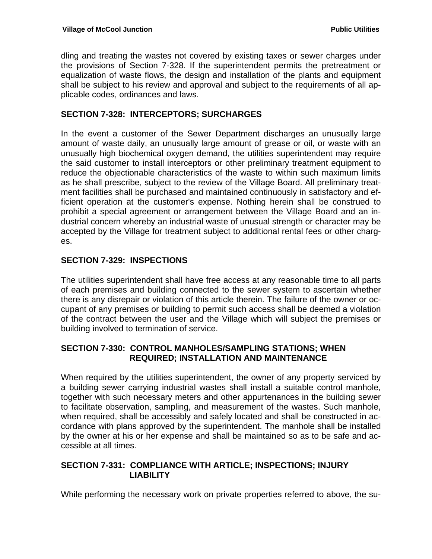dling and treating the wastes not covered by existing taxes or sewer charges under the provisions of Section 7-328. If the superintendent permits the pretreatment or equalization of waste flows, the design and installation of the plants and equipment shall be subject to his review and approval and subject to the requirements of all applicable codes, ordinances and laws.

#### **SECTION 7-328: INTERCEPTORS; SURCHARGES**

In the event a customer of the Sewer Department discharges an unusually large amount of waste daily, an unusually large amount of grease or oil, or waste with an unusually high biochemical oxygen demand, the utilities superintendent may require the said customer to install interceptors or other preliminary treatment equipment to reduce the objectionable characteristics of the waste to within such maximum limits as he shall prescribe, subject to the review of the Village Board. All preliminary treatment facilities shall be purchased and maintained continuously in satisfactory and efficient operation at the customer's expense. Nothing herein shall be construed to prohibit a special agreement or arrangement between the Village Board and an industrial concern whereby an industrial waste of unusual strength or character may be accepted by the Village for treatment subject to additional rental fees or other charges.

### **SECTION 7-329: INSPECTIONS**

The utilities superintendent shall have free access at any reasonable time to all parts of each premises and building connected to the sewer system to ascertain whether there is any disrepair or violation of this article therein. The failure of the owner or occupant of any premises or building to permit such access shall be deemed a violation of the contract between the user and the Village which will subject the premises or building involved to termination of service.

### **SECTION 7-330: CONTROL MANHOLES/SAMPLING STATIONS; WHEN REQUIRED; INSTALLATION AND MAINTENANCE**

When required by the utilities superintendent, the owner of any property serviced by a building sewer carrying industrial wastes shall install a suitable control manhole, together with such necessary meters and other appurtenances in the building sewer to facilitate observation, sampling, and measurement of the wastes. Such manhole, when required, shall be accessibly and safely located and shall be constructed in accordance with plans approved by the superintendent. The manhole shall be installed by the owner at his or her expense and shall be maintained so as to be safe and accessible at all times.

### **SECTION 7-331: COMPLIANCE WITH ARTICLE; INSPECTIONS; INJURY LIABILITY**

While performing the necessary work on private properties referred to above, the su-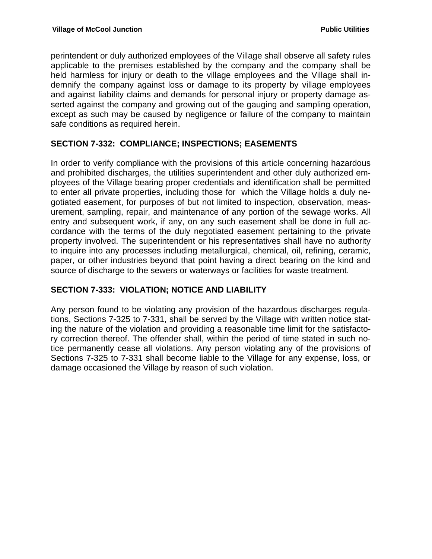perintendent or duly authorized employees of the Village shall observe all safety rules applicable to the premises established by the company and the company shall be held harmless for injury or death to the village employees and the Village shall indemnify the company against loss or damage to its property by village employees and against liability claims and demands for personal injury or property damage asserted against the company and growing out of the gauging and sampling operation, except as such may be caused by negligence or failure of the company to maintain safe conditions as required herein.

### **SECTION 7-332: COMPLIANCE; INSPECTIONS; EASEMENTS**

In order to verify compliance with the provisions of this article concerning hazardous and prohibited discharges, the utilities superintendent and other duly authorized employees of the Village bearing proper credentials and identification shall be permitted to enter all private properties, including those for which the Village holds a duly negotiated easement, for purposes of but not limited to inspection, observation, measurement, sampling, repair, and maintenance of any portion of the sewage works. All entry and subsequent work, if any, on any such easement shall be done in full accordance with the terms of the duly negotiated easement pertaining to the private property involved. The superintendent or his representatives shall have no authority to inquire into any processes including metallurgical, chemical, oil, refining, ceramic, paper, or other industries beyond that point having a direct bearing on the kind and source of discharge to the sewers or waterways or facilities for waste treatment.

#### **SECTION 7-333: VIOLATION; NOTICE AND LIABILITY**

Any person found to be violating any provision of the hazardous discharges regulations, Sections 7-325 to 7-331, shall be served by the Village with written notice stating the nature of the violation and providing a reasonable time limit for the satisfactory correction thereof. The offender shall, within the period of time stated in such notice permanently cease all violations. Any person violating any of the provisions of Sections 7-325 to 7-331 shall become liable to the Village for any expense, loss, or damage occasioned the Village by reason of such violation.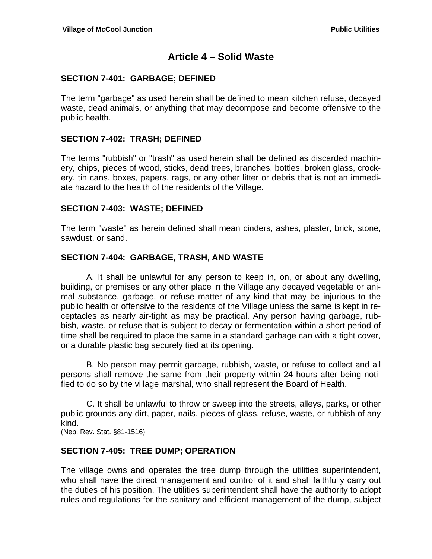## **Article 4 – Solid Waste**

#### **SECTION 7-401: GARBAGE; DEFINED**

The term "garbage" as used herein shall be defined to mean kitchen refuse, decayed waste, dead animals, or anything that may decompose and become offensive to the public health.

#### **SECTION 7-402: TRASH; DEFINED**

The terms "rubbish" or "trash" as used herein shall be defined as discarded machinery, chips, pieces of wood, sticks, dead trees, branches, bottles, broken glass, crockery, tin cans, boxes, papers, rags, or any other litter or debris that is not an immediate hazard to the health of the residents of the Village.

#### **SECTION 7-403: WASTE; DEFINED**

The term "waste" as herein defined shall mean cinders, ashes, plaster, brick, stone, sawdust, or sand.

#### **SECTION 7-404: GARBAGE, TRASH, AND WASTE**

A. It shall be unlawful for any person to keep in, on, or about any dwelling, building, or premises or any other place in the Village any decayed vegetable or animal substance, garbage, or refuse matter of any kind that may be injurious to the public health or offensive to the residents of the Village unless the same is kept in receptacles as nearly air-tight as may be practical. Any person having garbage, rubbish, waste, or refuse that is subject to decay or fermentation within a short period of time shall be required to place the same in a standard garbage can with a tight cover, or a durable plastic bag securely tied at its opening.

B. No person may permit garbage, rubbish, waste, or refuse to collect and all persons shall remove the same from their property within 24 hours after being notified to do so by the village marshal, who shall represent the Board of Health.

C. It shall be unlawful to throw or sweep into the streets, alleys, parks, or other public grounds any dirt, paper, nails, pieces of glass, refuse, waste, or rubbish of any kind.

(Neb. Rev. Stat. §81-1516)

#### **SECTION 7-405: TREE DUMP; OPERATION**

The village owns and operates the tree dump through the utilities superintendent, who shall have the direct management and control of it and shall faithfully carry out the duties of his position. The utilities superintendent shall have the authority to adopt rules and regulations for the sanitary and efficient management of the dump, subject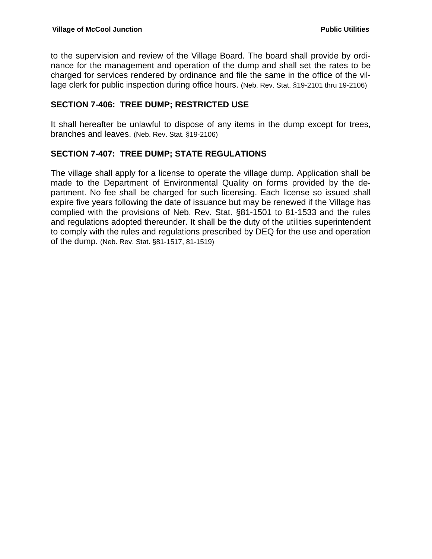to the supervision and review of the Village Board. The board shall provide by ordinance for the management and operation of the dump and shall set the rates to be charged for services rendered by ordinance and file the same in the office of the village clerk for public inspection during office hours. (Neb. Rev. Stat. §19-2101 thru 19-2106)

#### **SECTION 7-406: TREE DUMP; RESTRICTED USE**

It shall hereafter be unlawful to dispose of any items in the dump except for trees, branches and leaves. (Neb. Rev. Stat. §19-2106)

#### **SECTION 7-407: TREE DUMP; STATE REGULATIONS**

The village shall apply for a license to operate the village dump. Application shall be made to the Department of Environmental Quality on forms provided by the department. No fee shall be charged for such licensing. Each license so issued shall expire five years following the date of issuance but may be renewed if the Village has complied with the provisions of Neb. Rev. Stat. §81-1501 to 81-1533 and the rules and regulations adopted thereunder. It shall be the duty of the utilities superintendent to comply with the rules and regulations prescribed by DEQ for the use and operation of the dump. (Neb. Rev. Stat. §81-1517, 81-1519)